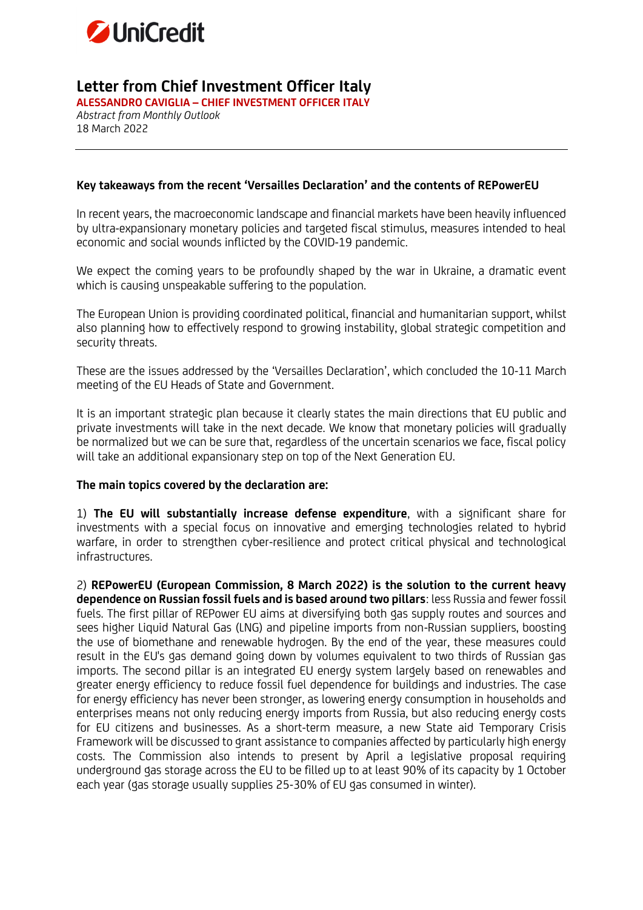

## **Letter from Chief Investment Officer Italy**

**ALESSANDRO CAVIGLIA – CHIEF INVESTMENT OFFICER ITALY** *Abstract from Monthly Outlook* 18 March 2022

## **Key takeaways from the recent 'Versailles Declaration' and the contents of REPowerEU**

In recent years, the macroeconomic landscape and financial markets have been heavily influenced by ultra-expansionary monetary policies and targeted fiscal stimulus, measures intended to heal economic and social wounds inflicted by the COVID-19 pandemic.

We expect the coming years to be profoundly shaped by the war in Ukraine, a dramatic event which is causing unspeakable suffering to the population.

The European Union is providing coordinated political, financial and humanitarian support, whilst also planning how to effectively respond to growing instability, global strategic competition and security threats.

These are the issues addressed by the 'Versailles Declaration', which concluded the 10-11 March meeting of the EU Heads of State and Government.

It is an important strategic plan because it clearly states the main directions that EU public and private investments will take in the next decade. We know that monetary policies will gradually be normalized but we can be sure that, regardless of the uncertain scenarios we face, fiscal policy will take an additional expansionary step on top of the Next Generation EU.

## **The main topics covered by the declaration are:**

1) **The EU will substantially increase defense expenditure**, with a significant share for investments with a special focus on innovative and emerging technologies related to hybrid warfare, in order to strengthen cyber-resilience and protect critical physical and technological infrastructures.

2) **REPowerEU (European Commission, 8 March 2022) is the solution to the current heavy dependence on Russian fossil fuels and is based around two pillars**: less Russia and fewer fossil fuels. The first pillar of REPower EU aims at diversifying both gas supply routes and sources and sees higher Liquid Natural Gas (LNG) and pipeline imports from non-Russian suppliers, boosting the use of biomethane and renewable hydrogen. By the end of the year, these measures could result in the EU's gas demand going down by volumes equivalent to two thirds of Russian gas imports. The second pillar is an integrated EU energy system largely based on renewables and greater energy efficiency to reduce fossil fuel dependence for buildings and industries. The case for energy efficiency has never been stronger, as lowering energy consumption in households and enterprises means not only reducing energy imports from Russia, but also reducing energy costs for EU citizens and businesses. As a short-term measure, a new State aid Temporary Crisis Framework will be discussed to grant assistance to companies affected by particularly high energy costs. The Commission also intends to present by April a legislative proposal requiring underground gas storage across the EU to be filled up to at least 90% of its capacity by 1 October each year (gas storage usually supplies 25-30% of EU gas consumed in winter).